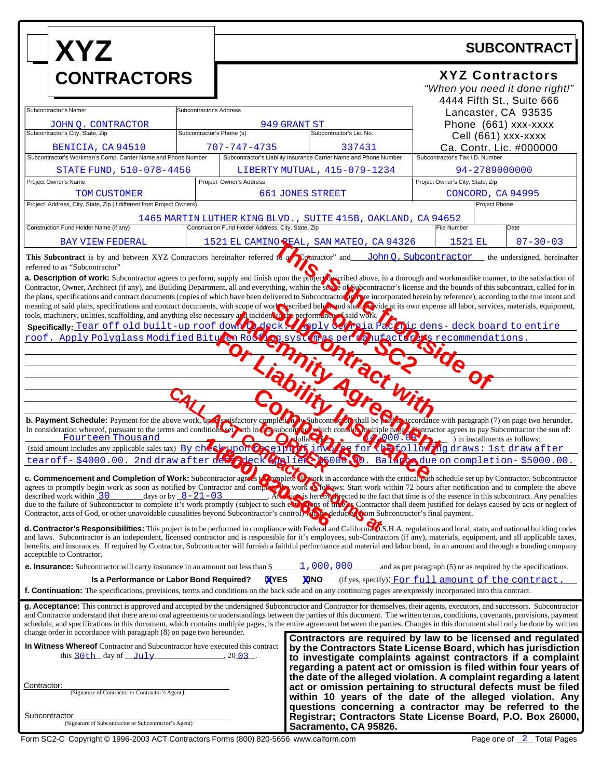| <b>XYZ</b><br><b>CONTRACTORS</b>                                                                                                                                                                                                                                                                                                                                                                                                                                                                                                                                                                                                                                                                                                    |                                                                                                                | <b>SUBCONTRACT</b>                                       |                                                                             |  |                                                                                                                                                               |                                                                                                                                                                                                                                                                    |  |
|-------------------------------------------------------------------------------------------------------------------------------------------------------------------------------------------------------------------------------------------------------------------------------------------------------------------------------------------------------------------------------------------------------------------------------------------------------------------------------------------------------------------------------------------------------------------------------------------------------------------------------------------------------------------------------------------------------------------------------------|----------------------------------------------------------------------------------------------------------------|----------------------------------------------------------|-----------------------------------------------------------------------------|--|---------------------------------------------------------------------------------------------------------------------------------------------------------------|--------------------------------------------------------------------------------------------------------------------------------------------------------------------------------------------------------------------------------------------------------------------|--|
|                                                                                                                                                                                                                                                                                                                                                                                                                                                                                                                                                                                                                                                                                                                                     |                                                                                                                | <b>XYZ Contractors</b><br>"When you need it done right!" |                                                                             |  |                                                                                                                                                               |                                                                                                                                                                                                                                                                    |  |
| Subcontractor's Name:<br>JOHN Q. CONTRACTOR<br>Subcontractor's City, State, Zip                                                                                                                                                                                                                                                                                                                                                                                                                                                                                                                                                                                                                                                     | Subcontractor's Address<br>Subcontractor's Phone (s)                                                           |                                                          | 949 GRANT ST<br>Subcontractor's Lic. No.                                    |  | 4444 Fifth St., Suite 666<br>Lancaster, CA 93535<br>Phone (661) xxx-xxxx<br>Cell (661) xxx-xxxx<br>Ca. Contr. Lic. #000000<br>Subcontractor's Tax I.D. Number |                                                                                                                                                                                                                                                                    |  |
| BENICIA, CA 94510<br>Subcontractor's Workmen's Comp. Carrier Name and Phone Number                                                                                                                                                                                                                                                                                                                                                                                                                                                                                                                                                                                                                                                  |                                                                                                                | 707-747-4735                                             | 337431<br>Subcontractor's Liability Insurance Carrier Name and Phone Number |  |                                                                                                                                                               |                                                                                                                                                                                                                                                                    |  |
| Project Owner's Name<br>TOM CUSTOMER                                                                                                                                                                                                                                                                                                                                                                                                                                                                                                                                                                                                                                                                                                | STATE FUND, 510-078-4456<br>LIBERTY MUTUAL, 415-079-1234<br>Project Owner's Address<br><b>661 JONES STREET</b> |                                                          |                                                                             |  | 94-2789000000<br>Project Owner's City, State, Zip<br>CONCORD, CA 94995                                                                                        |                                                                                                                                                                                                                                                                    |  |
| Project Address, City, State, Zip (if different from Project Owners)<br>Construction Fund Holder Name (if any)                                                                                                                                                                                                                                                                                                                                                                                                                                                                                                                                                                                                                      |                                                                                                                | Construction Fund Holder Address, City, State, Zip       | 1465 MARTIN LUTHER KING BLVD., SUITE 415B, OAKLAND, CA 94652                |  | <b>File Number</b>                                                                                                                                            | Project Phone<br>Date                                                                                                                                                                                                                                              |  |
| <b>BAY VIEW FEDERAL</b><br>This Subcontract is by and between XYZ Contractors hereinafter referred to a Dontractor" and<br>referred to as "Subcontractor"                                                                                                                                                                                                                                                                                                                                                                                                                                                                                                                                                                           |                                                                                                                |                                                          | 1521 EL CAMINO SEAL, SAN MATEO, CA 94326                                    |  | 1521 EL                                                                                                                                                       | $07 - 30 - 03$<br>John Q. Subcontractor _ the undersigned, hereinafter                                                                                                                                                                                             |  |
| <b>a. Description of work:</b> Subcontractor agrees to perform, supply and finish upon the project described above, in a thorough and workmanlike manner, to the satisfaction of Contractor, Owner, Architect (if any), and Buildin<br>the plans, specifications and contract documents (copies of which have been delivered to Subcontractor are pre incorporated herein by reference), according to the true intent and<br>meaning of said plans, specifications and contract documents, with scope of work or scribed below and shall explore at its own expense all labor, services, materials, equipment,<br>tools, machinery, utilities, scaffolding, and anything else necessary and incident to be performance assaid work. |                                                                                                                |                                                          |                                                                             |  |                                                                                                                                                               |                                                                                                                                                                                                                                                                    |  |
| Specifically: Tear off old built-up roof down p deck. The ply of the Pacifical Specifically. Tear off old built-up roof down p deck. The ply of the permane of the specifical Specifical Specifical Specifical Specifical Spec                                                                                                                                                                                                                                                                                                                                                                                                                                                                                                      |                                                                                                                |                                                          |                                                                             |  |                                                                                                                                                               |                                                                                                                                                                                                                                                                    |  |
|                                                                                                                                                                                                                                                                                                                                                                                                                                                                                                                                                                                                                                                                                                                                     |                                                                                                                |                                                          |                                                                             |  |                                                                                                                                                               |                                                                                                                                                                                                                                                                    |  |
|                                                                                                                                                                                                                                                                                                                                                                                                                                                                                                                                                                                                                                                                                                                                     |                                                                                                                |                                                          |                                                                             |  |                                                                                                                                                               |                                                                                                                                                                                                                                                                    |  |
| b. Payment Schedule: Payment for the above work, the presistactory completion with paragraph (7) on page two herunder.<br>In consideration whereof, pursuant to the terms and conditions et beth in the subcompletion with condit<br>Fourteen Thousand                                                                                                                                                                                                                                                                                                                                                                                                                                                                              |                                                                                                                |                                                          |                                                                             |  |                                                                                                                                                               | ) in installments as follows:                                                                                                                                                                                                                                      |  |
| (said amount includes any applicable sales tax) By $ch\left(\mathbf{e}\right)$<br>tearoff-\$4000.00. 2nd draw after de                                                                                                                                                                                                                                                                                                                                                                                                                                                                                                                                                                                                              |                                                                                                                |                                                          |                                                                             |  | <b>S</b>                                                                                                                                                      | ollow ng draws: 1st draw after<br>ieco 000 N. Balaz due on completion-\$5000.00.                                                                                                                                                                                   |  |
| c. Commencement and Completion of Work: Subcontractor agrees to puplete O work in accordance with the critical path schedule set up by Contractor. Subcontractor agrees to promptly begin work as soon as notified by Contract<br>days or by $8-21-03$<br>described work within $\overline{30}$<br>At the state of the state is that time is of the essence in this subcontract. Any penalties<br>due to the failure of Subcontractor to complete it's work promptly (subject to such expans of the cap Contractor shall deem justified for delays caused by acts or neglect of<br>Contractor, acts of God, or other unavoidable causalities beyond Subcontractor's controlly to deduce the m Subcontractor's final payment.        |                                                                                                                |                                                          |                                                                             |  |                                                                                                                                                               |                                                                                                                                                                                                                                                                    |  |
| d. Contractor's Responsibilities: This project is to be performed in compliance with Federal and Califorma O.S.H.A. regulations and local, state, and national building codes<br>and laws. Subcontractor is an independent, licensed contractor and is responsible for it's employees, sub-Contractors (if any), materials, equipment, and all applicable taxes,<br>benefits, and insurances. If required by Contractor, Subcontractor will furnish a faithful performance and material and labor bond, in an amount and through a bonding company<br>acceptable to Contractor.                                                                                                                                                     |                                                                                                                |                                                          |                                                                             |  |                                                                                                                                                               |                                                                                                                                                                                                                                                                    |  |
| <b>e. Insurance:</b> Subcontractor will carry insurance in an amount not less than \$                                                                                                                                                                                                                                                                                                                                                                                                                                                                                                                                                                                                                                               |                                                                                                                |                                                          | 1,000,000                                                                   |  |                                                                                                                                                               | and as per paragraph (5) or as required by the specifications.                                                                                                                                                                                                     |  |
| <b>XYES</b><br><b>XINO</b><br>(if yes, specify): For full amount of the contract<br>Is a Performance or Labor Bond Required?<br>f. Continuation: The specifications, provisions, terms and conditions on the back side and on any continuing pages are expressly incorporated into this contract.                                                                                                                                                                                                                                                                                                                                                                                                                                   |                                                                                                                |                                                          |                                                                             |  |                                                                                                                                                               |                                                                                                                                                                                                                                                                    |  |
| g. Acceptance: This contract is approved and accepted by the undersigned Subcontractor and Contractor for themselves, their agents, executors, and successors. Subcontractor<br>and Contractor understand that there are no oral agreements or understandings between the parties of this document. The written terms, conditions, covenants, provisions, payment<br>schedule, and specifications in this document, which contains multiple pages, is the entire agreement between the parties. Changes in this document shall only be done by written<br>change order in accordance with paragraph (8) on page two hereunder.                                                                                                      |                                                                                                                |                                                          |                                                                             |  |                                                                                                                                                               |                                                                                                                                                                                                                                                                    |  |
| In Witness Whereof Contractor and Subcontractor have executed this contract<br>this $30th$ day of $July$                                                                                                                                                                                                                                                                                                                                                                                                                                                                                                                                                                                                                            |                                                                                                                | $, 20$ 03.                                               |                                                                             |  |                                                                                                                                                               | Contractors are required by law to be licensed and regulated<br>by the Contractors State License Board, which has jurisdiction<br>to investigate complaints against contractors if a complaint<br>regarding a patent act or omission is filed within four years of |  |
| Contractor:<br>(Signature of Contractor or Contractor's Agent)                                                                                                                                                                                                                                                                                                                                                                                                                                                                                                                                                                                                                                                                      |                                                                                                                |                                                          |                                                                             |  |                                                                                                                                                               | the date of the alleged violation. A complaint regarding a latent<br>act or omission pertaining to structural defects must be filed<br>within 10 years of the date of the alleged violation. Any                                                                   |  |
| <u>Subcontractor</u><br>(Signature of Subcontractor or Subcontractor's Agent)                                                                                                                                                                                                                                                                                                                                                                                                                                                                                                                                                                                                                                                       |                                                                                                                |                                                          | Sacramento, CA 95826.                                                       |  |                                                                                                                                                               | questions concerning a contractor may be referred to the<br>Registrar; Contractors State License Board, P.O. Box 26000,                                                                                                                                            |  |